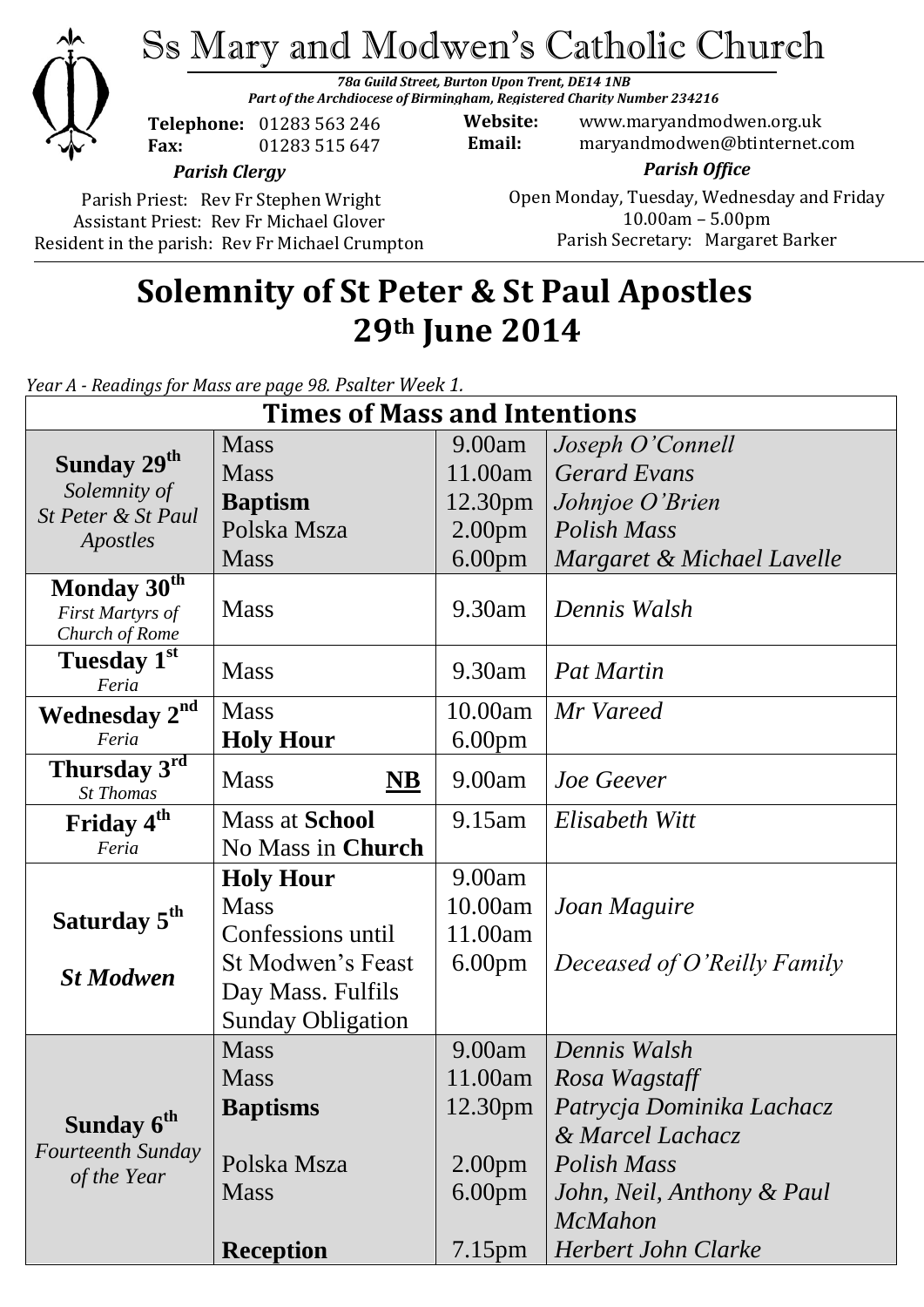

# Ss Mary and Modwen's Catholic Church

*78a Guild Street, Burton Upon Trent, DE14 1NB Part of the Archdiocese of Birmingham, Registered Charity Number 234216*

**Telephone:** 01283 563 246 **Fax:** 01283 515 647

**Website:** www.maryandmodwen.org.uk **Email:** maryandmodwen@btinternet.com

*Parish Clergy*

Parish Priest: Rev Fr Stephen Wright Assistant Priest: Rev Fr Michael Glover Resident in the parish: Rev Fr Michael Crumpton

*Parish Office* Open Monday, Tuesday, Wednesday and Friday 10.00am – 5.00pm Parish Secretary:Margaret Barker

## **Solemnity of St Peter & St Paul Apostles 29th June 2014**

*Year A - Readings for Mass are page 98. Psalter Week 1.*

| <b>Times of Mass and Intentions</b>                               |                                    |                     |                             |
|-------------------------------------------------------------------|------------------------------------|---------------------|-----------------------------|
|                                                                   | <b>Mass</b>                        | 9.00am              | Joseph O'Connell            |
| Sunday 29 <sup>th</sup>                                           | <b>Mass</b>                        | 11.00am             | <b>Gerard Evans</b>         |
| Solemnity of                                                      | <b>Baptism</b>                     | 12.30 <sub>pm</sub> | Johnjoe O'Brien             |
| St Peter & St Paul<br>Apostles                                    | Polska Msza                        | 2.00 <sub>pm</sub>  | Polish Mass                 |
|                                                                   | <b>Mass</b>                        | 6.00 <sub>pm</sub>  | Margaret & Michael Lavelle  |
| Monday 30 <sup>th</sup>                                           |                                    |                     |                             |
| First Martyrs of<br>Church of Rome                                | <b>Mass</b>                        | 9.30am              | Dennis Walsh                |
| Tuesday 1st                                                       | <b>Mass</b>                        | 9.30am              | <b>Pat Martin</b>           |
| Feria                                                             |                                    |                     |                             |
| <b>Wednesday 2nd</b>                                              | <b>Mass</b>                        | 10.00am             | Mr Vareed                   |
| Feria                                                             | <b>Holy Hour</b>                   | 6.00 <sub>pm</sub>  |                             |
| Thursday 3rd<br><b>St Thomas</b>                                  | <b>Mass</b><br>$\overline{\bf NB}$ | 9.00am              | Joe Geever                  |
| Friday 4 <sup>th</sup>                                            | <b>Mass at School</b>              | 9.15am              | Elisabeth Witt              |
| Feria                                                             | No Mass in Church                  |                     |                             |
|                                                                   | <b>Holy Hour</b>                   | 9.00am              |                             |
| Saturday 5 <sup>th</sup>                                          | <b>Mass</b>                        | 10.00am             | Joan Maguire                |
|                                                                   | Confessions until                  | 11.00am             |                             |
| <b>St Modwen</b>                                                  | St Modwen's Feast                  | 6.00 <sub>pm</sub>  | Deceased of O'Reilly Family |
|                                                                   | Day Mass. Fulfils                  |                     |                             |
|                                                                   | <b>Sunday Obligation</b>           |                     |                             |
| Sunday 6 <sup>th</sup><br><b>Fourteenth Sunday</b><br>of the Year | <b>Mass</b>                        | 9.00am              | Dennis Walsh                |
|                                                                   | <b>Mass</b>                        | 11.00am             | Rosa Wagstaff               |
|                                                                   | <b>Baptisms</b>                    | 12.30 <sub>pm</sub> | Patrycja Dominika Lachacz   |
|                                                                   |                                    |                     | & Marcel Lachacz            |
|                                                                   | Polska Msza                        | 2.00 <sub>pm</sub>  | Polish Mass                 |
|                                                                   | <b>Mass</b>                        | 6.00 <sub>pm</sub>  | John, Neil, Anthony & Paul  |
|                                                                   |                                    |                     | <b>McMahon</b>              |
|                                                                   | <b>Reception</b>                   | 7.15 <sub>pm</sub>  | <b>Herbert John Clarke</b>  |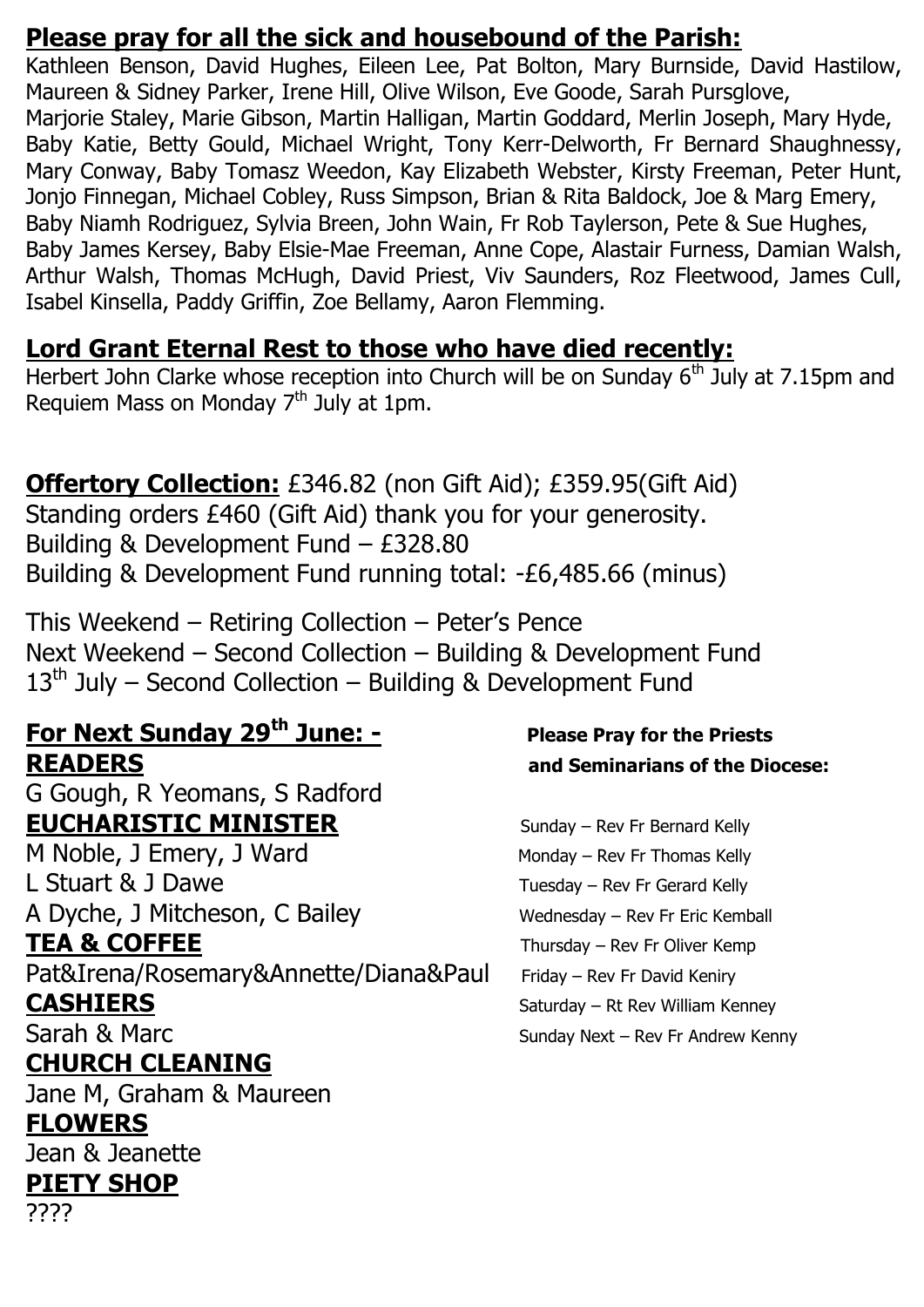### **Please pray for all the sick and housebound of the Parish:**

Kathleen Benson, David Hughes, Eileen Lee, Pat Bolton, Mary Burnside, David Hastilow, Maureen & Sidney Parker, Irene Hill, Olive Wilson, Eve Goode, Sarah Pursglove, Marjorie Staley, Marie Gibson, Martin Halligan, Martin Goddard, Merlin Joseph, Mary Hyde, Baby Katie, Betty Gould, Michael Wright, Tony Kerr-Delworth, Fr Bernard Shaughnessy, Mary Conway, Baby Tomasz Weedon, Kay Elizabeth Webster, Kirsty Freeman, Peter Hunt, Jonjo Finnegan, Michael Cobley, Russ Simpson, Brian & Rita Baldock, Joe & Marg Emery, Baby Niamh Rodriguez, Sylvia Breen, John Wain, Fr Rob Taylerson, Pete & Sue Hughes, Baby James Kersey, Baby Elsie-Mae Freeman, Anne Cope, Alastair Furness, Damian Walsh, Arthur Walsh, Thomas McHugh, David Priest, Viv Saunders, Roz Fleetwood, James Cull, Isabel Kinsella, Paddy Griffin, Zoe Bellamy, Aaron Flemming.

### **Lord Grant Eternal Rest to those who have died recently:**

Herbert John Clarke whose reception into Church will be on Sunday 6<sup>th</sup> July at 7.15pm and Requiem Mass on Monday 7<sup>th</sup> July at 1pm.

### **Offertory Collection:** £346.82 (non Gift Aid); £359.95(Gift Aid)

Standing orders £460 (Gift Aid) thank you for your generosity. Building & Development Fund – £328.80 Building & Development Fund running total: -£6,485.66 (minus)

This Weekend – Retiring Collection – Peter's Pence Next Weekend – Second Collection – Building & Development Fund  $13<sup>th</sup>$  July – Second Collection – Building & Development Fund

## **For Next Sunday 29th June: - Please Pray for the Priests READERS and Seminarians of the Diocese:**

G Gough, R Yeomans, S Radford **EUCHARISTIC MINISTER** Sunday – Rev Fr Bernard Kelly

L Stuart & J Dawe Tuesday – Rev Fr Gerard Kelly A Dyche, J Mitcheson, C Bailey Wednesday – Rev Fr Eric Kemball

Pat&Irena/Rosemary&Annette/Diana&Paul Friday – Rev Fr David Keniry

### **CHURCH CLEANING**

Jane M, Graham & Maureen

### **FLOWERS**

Jean & Jeanette

### **PIETY SHOP**

????

M Noble, J Emery, J Ward Monday – Rev Fr Thomas Kelly **TEA & COFFEE** Thursday – Rev Fr Oliver Kemp **CASHIERS** Saturday – Rt Rev William Kenney Sarah & Marc Sunday Next – Rev Fr Andrew Kenny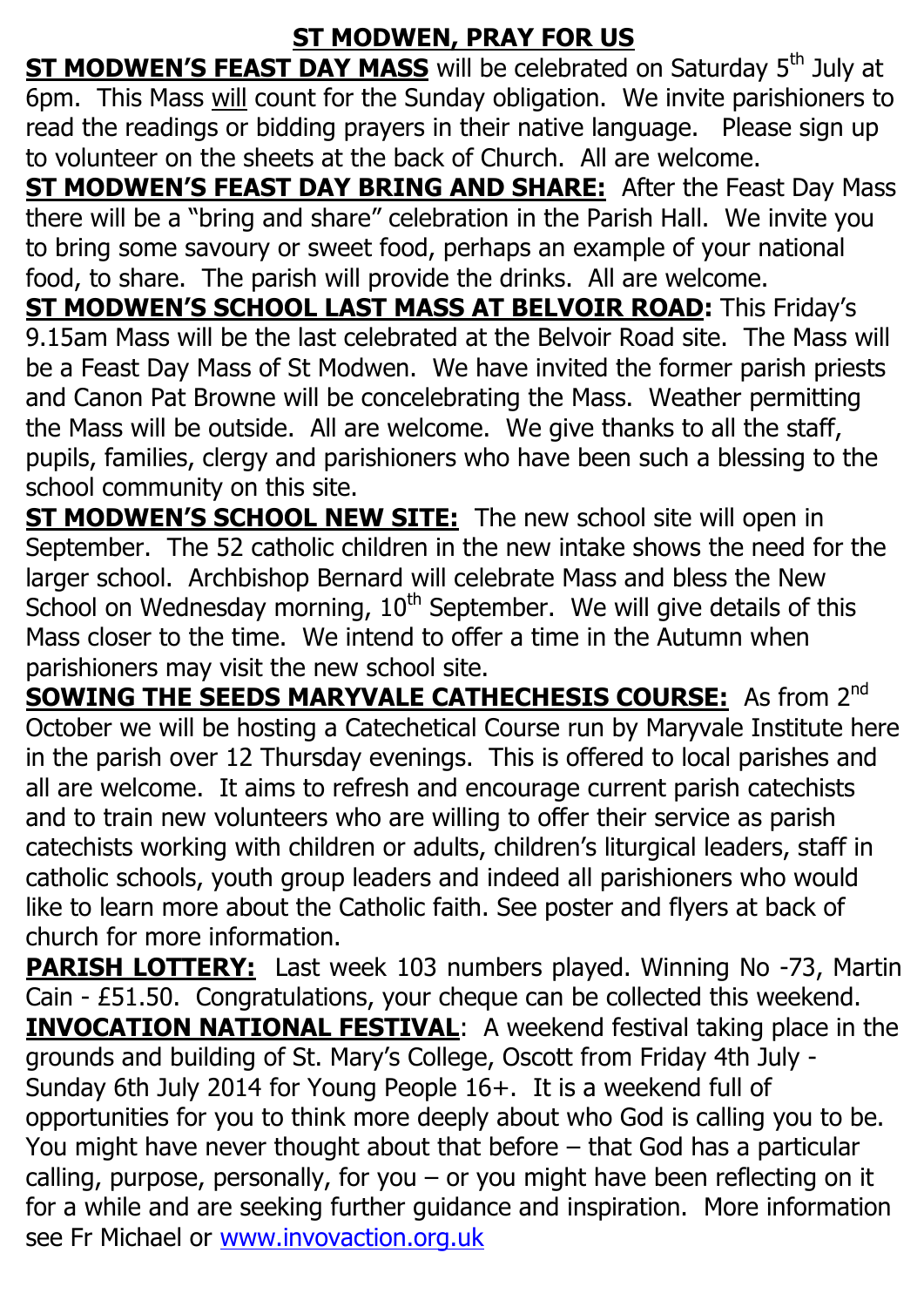### **ST MODWEN, PRAY FOR US**

**ST MODWEN'S FEAST DAY MASS** will be celebrated on Saturday 5<sup>th</sup> July at 6pm. This Mass will count for the Sunday obligation. We invite parishioners to read the readings or bidding prayers in their native language. Please sign up to volunteer on the sheets at the back of Church. All are welcome.

**ST MODWEN'S FEAST DAY BRING AND SHARE:** After the Feast Day Mass there will be a "bring and share" celebration in the Parish Hall. We invite you to bring some savoury or sweet food, perhaps an example of your national food, to share. The parish will provide the drinks. All are welcome.

**ST MODWEN'S SCHOOL LAST MASS AT BELVOIR ROAD:** This Friday's 9.15am Mass will be the last celebrated at the Belvoir Road site. The Mass will be a Feast Day Mass of St Modwen. We have invited the former parish priests and Canon Pat Browne will be concelebrating the Mass. Weather permitting the Mass will be outside. All are welcome. We give thanks to all the staff, pupils, families, clergy and parishioners who have been such a blessing to the school community on this site.

**ST MODWEN'S SCHOOL NEW SITE:** The new school site will open in September. The 52 catholic children in the new intake shows the need for the larger school. Archbishop Bernard will celebrate Mass and bless the New School on Wednesday morning,  $10<sup>th</sup>$  September. We will give details of this Mass closer to the time. We intend to offer a time in the Autumn when parishioners may visit the new school site.

**SOWING THE SEEDS MARYVALE CATHECHESIS COURSE:** As from 2<sup>nd</sup> October we will be hosting a Catechetical Course run by Maryvale Institute here in the parish over 12 Thursday evenings. This is offered to local parishes and all are welcome. It aims to refresh and encourage current parish catechists and to train new volunteers who are willing to offer their service as parish catechists working with children or adults, children's liturgical leaders, staff in catholic schools, youth group leaders and indeed all parishioners who would like to learn more about the Catholic faith. See poster and flyers at back of church for more information.

**PARISH LOTTERY:** Last week 103 numbers played. Winning No -73, Martin Cain - £51.50. Congratulations, your cheque can be collected this weekend. **INVOCATION NATIONAL FESTIVAL:** A weekend festival taking place in the grounds and building of St. Mary's College, Oscott from Friday 4th July - Sunday 6th July 2014 for Young People 16+. It is a weekend full of opportunities for you to think more deeply about who God is calling you to be. You might have never thought about that before – that God has a particular calling, purpose, personally, for you – or you might have been reflecting on it for a while and are seeking further guidance and inspiration. More information see Fr Michael or [www.invovaction.org.uk](http://www.invovaction.org.uk/)